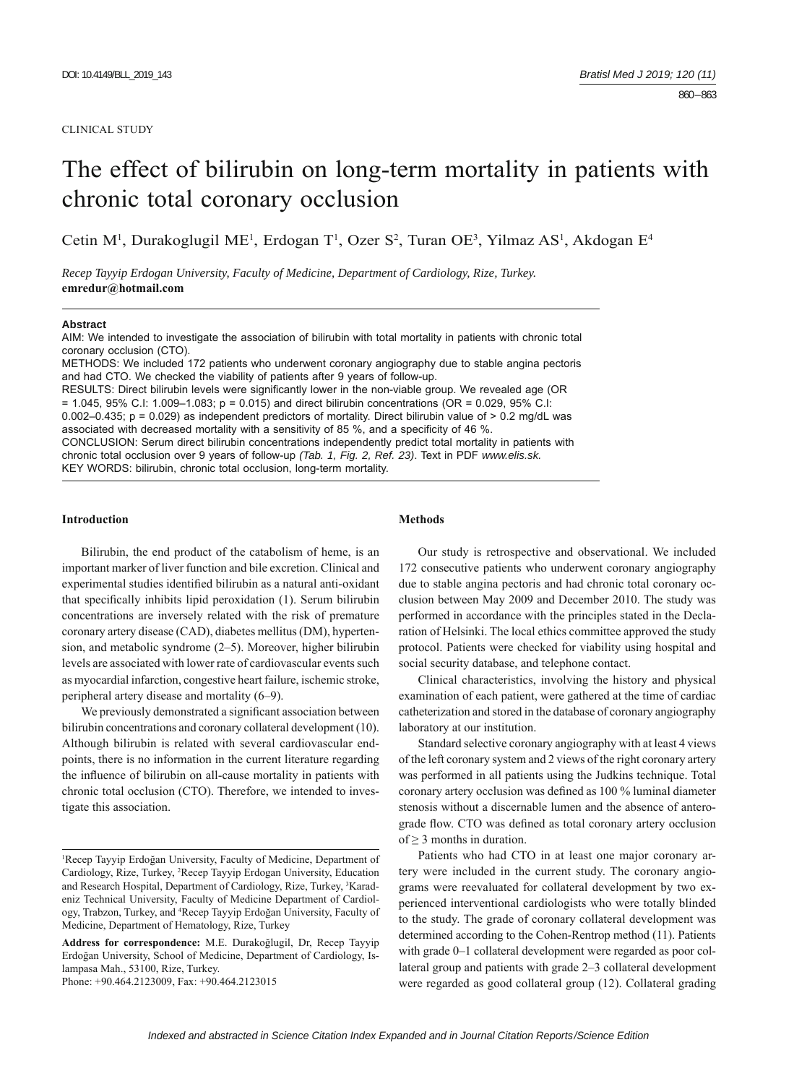#### CLINICAL STUDY

# The effect of bilirubin on long-term mortality in patients with chronic total coronary occlusion

Cetin M<sup>1</sup>, Durakoglugil ME<sup>1</sup>, Erdogan T<sup>1</sup>, Ozer S<sup>2</sup>, Turan OE<sup>3</sup>, Yilmaz AS<sup>1</sup>, Akdogan E<sup>4</sup>

*Recep Tayyip Erdogan University, Faculty of Medicine, Department of Cardiology, Rize, Turkey.*  **emredur@hotmail.com**

#### **Abstract**

AIM: We intended to investigate the association of bilirubin with total mortality in patients with chronic total coronary occlusion (CTO).

METHODS: We included 172 patients who underwent coronary angiography due to stable angina pectoris and had CTO. We checked the viability of patients after 9 years of follow-up.

RESULTS: Direct bilirubin levels were significantly lower in the non-viable group. We revealed age (OR  $= 1.045$ , 95% C.I: 1.009–1.083; p = 0.015) and direct bilirubin concentrations (OR = 0.029, 95% C.I: 0.002–0.435;  $p = 0.029$ ) as independent predictors of mortality. Direct bilirubin value of  $> 0.2$  mg/dL was associated with decreased mortality with a sensitivity of 85 %, and a specificity of 46 %. CONCLUSION: Serum direct bilirubin concentrations independently predict total mortality in patients with chronic total occlusion over 9 years of follow-up *(Tab. 1, Fig. 2, Ref. 23)*. Text in PDF *www.elis.sk.* KEY WORDS: bilirubin, chronic total occlusion, long-term mortality.

#### **Introduction**

Bilirubin, the end product of the catabolism of heme, is an important marker of liver function and bile excretion. Clinical and experimental studies identified bilirubin as a natural anti-oxidant that specifically inhibits lipid peroxidation (1). Serum bilirubin concentrations are inversely related with the risk of premature coronary artery disease (CAD), diabetes mellitus (DM), hypertension, and metabolic syndrome (2–5). Moreover, higher bilirubin levels are associated with lower rate of cardiovascular events such as myocardial infarction, congestive heart failure, ischemic stroke, peripheral artery disease and mortality (6‒9).

We previously demonstrated a significant association between bilirubin concentrations and coronary collateral development (10). Although bilirubin is related with several cardiovascular endpoints, there is no information in the current literature regarding the influence of bilirubin on all-cause mortality in patients with chronic total occlusion (CTO). Therefore, we intended to investigate this association.

Phone: +90.464.2123009, Fax: +90.464.2123015

#### **Methods**

Our study is retrospective and observational. We included 172 consecutive patients who underwent coronary angiography due to stable angina pectoris and had chronic total coronary occlusion between May 2009 and December 2010. The study was performed in accordance with the principles stated in the Declaration of Helsinki. The local ethics committee approved the study protocol. Patients were checked for viability using hospital and social security database, and telephone contact.

Clinical characteristics, involving the history and physical examination of each patient, were gathered at the time of cardiac catheterization and stored in the database of coronary angiography laboratory at our institution.

Standard selective coronary angiography with at least 4 views of the left coronary system and 2 views of the right coronary artery was performed in all patients using the Judkins technique. Total coronary artery occlusion was defined as 100 % luminal diameter stenosis without a discernable lumen and the absence of anterograde flow. CTO was defined as total coronary artery occlusion of  $\geq$  3 months in duration.

Patients who had CTO in at least one major coronary artery were included in the current study. The coronary angiograms were reevaluated for collateral development by two experienced interventional cardiologists who were totally blinded to the study. The grade of coronary collateral development was determined according to the Cohen-Rentrop method (11). Patients with grade 0–1 collateral development were regarded as poor collateral group and patients with grade 2‒3 collateral development were regarded as good collateral group (12). Collateral grading

<sup>1</sup> Recep Tayyip Erdoğan University, Faculty of Medicine, Department of Cardiology, Rize, Turkey, 2 Recep Tayyip Erdogan University, Education and Research Hospital, Department of Cardiology, Rize, Turkey, <sup>3</sup>Karadeniz Technical University, Faculty of Medicine Department of Cardiology, Trabzon, Turkey, and 4 Recep Tayyip Erdoğan University, Faculty of Medicine, Department of Hematology, Rize, Turkey

**Address for correspondence:** M.E. Durakoğlugil, Dr, Recep Tayyip Erdoğan University, School of Medicine, Department of Cardiology, Islampasa Mah., 53100, Rize, Turkey.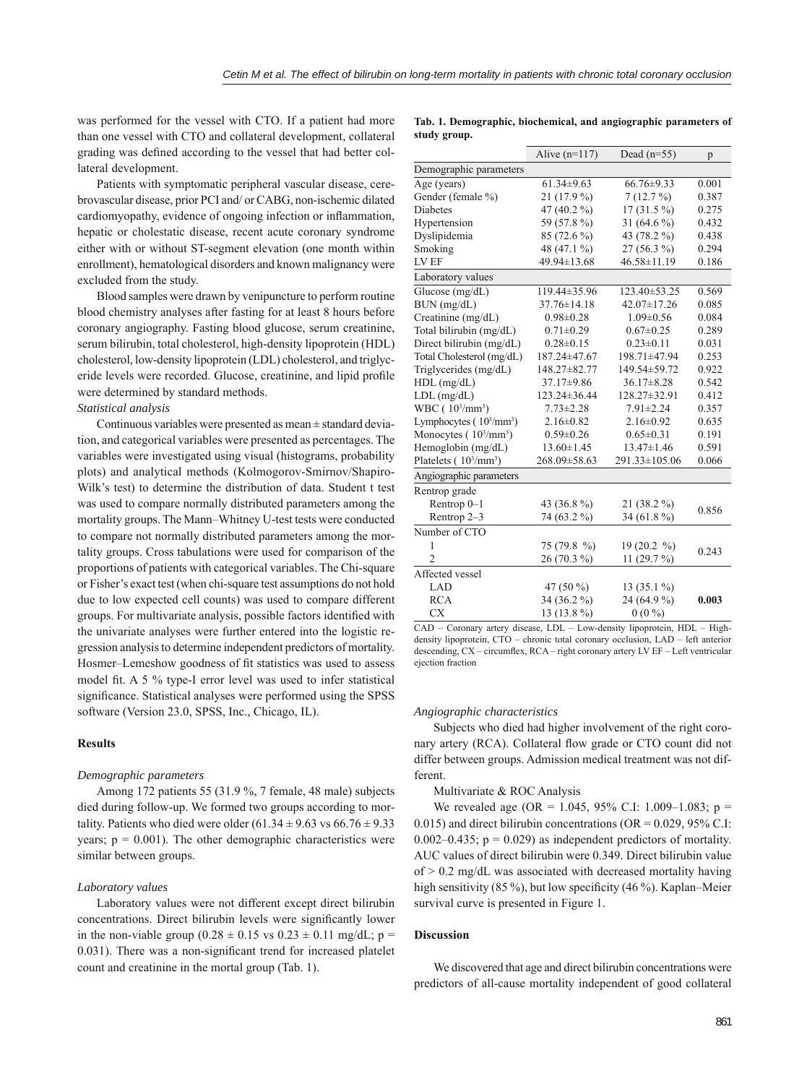was performed for the vessel with CTO. If a patient had more than one vessel with CTO and collateral development, collateral grading was defined according to the vessel that had better collateral development.

Patients with symptomatic peripheral vascular disease, cerebrovascular disease, prior PCI and/ or CABG, non-ischemic dilated cardiomyopathy, evidence of ongoing infection or inflammation, hepatic or cholestatic disease, recent acute coronary syndrome either with or without ST-segment elevation (one month within enrollment), hematological disorders and known malignancy were excluded from the study.

Blood samples were drawn by venipuncture to perform routine blood chemistry analyses after fasting for at least 8 hours before coronary angiography. Fasting blood glucose, serum creatinine, serum bilirubin, total cholesterol, high-density lipoprotein (HDL) cholesterol, low-density lipoprotein (LDL) cholesterol, and triglyceride levels were recorded. Glucose, creatinine, and lipid profile were determined by standard methods.

# *Statistical analysis*

Continuous variables were presented as mean ± standard deviation, and categorical variables were presented as percentages. The variables were investigated using visual (histograms, probability plots) and analytical methods (Kolmogorov-Smirnov/Shapiro-Wilk's test) to determine the distribution of data. Student t test was used to compare normally distributed parameters among the mortality groups. The Mann–Whitney U-test tests were conducted to compare not normally distributed parameters among the mortality groups. Cross tabulations were used for comparison of the proportions of patients with categorical variables. The Chi-square or Fisher's exact test (when chi-square test assumptions do not hold due to low expected cell counts) was used to compare different groups. For multivariate analysis, possible factors identified with the univariate analyses were further entered into the logistic regression analysis to determine independent predictors of mortality. Hosmer–Lemeshow goodness of fit statistics was used to assess model fit. A 5  $\%$  type-I error level was used to infer statistical significance. Statistical analyses were performed using the SPSS software (Version 23.0, SPSS, Inc., Chicago, IL).

## **Results**

## *Demographic parameters*

Among 172 patients 55 (31.9 %, 7 female, 48 male) subjects died during follow-up. We formed two groups according to mortality. Patients who died were older  $(61.34 \pm 9.63 \text{ vs } 66.76 \pm 9.33 \text{)}$ years;  $p = 0.001$ ). The other demographic characteristics were similar between groups.

#### *Laboratory values*

Laboratory values were not different except direct bilirubin concentrations. Direct bilirubin levels were significantly lower in the non-viable group (0.28  $\pm$  0.15 vs 0.23  $\pm$  0.11 mg/dL; p =  $0.031$ ). There was a non-significant trend for increased platelet count and creatinine in the mortal group (Tab. 1).

**Tab. 1. Demographic, biochemical, and angiographic parameters of study group.**

|                                         | Alive $(n=117)$   | Dead $(n=55)$     | p     |
|-----------------------------------------|-------------------|-------------------|-------|
| Demographic parameters                  |                   |                   |       |
| Age (years)                             | $61.34 \pm 9.63$  | $66.76 \pm 9.33$  | 0.001 |
| Gender (female %)                       | $21(17.9\%)$      | 7(12.7%)          | 0.387 |
| <b>Diabetes</b>                         | 47 (40.2 %)       | $17(31.5\%)$      | 0.275 |
| Hypertension                            | 59 (57.8%)        | 31 (64.6 %)       | 0.432 |
| Dyslipidemia                            | 85 (72.6 %)       | 43 (78.2 %)       | 0.438 |
| Smoking                                 | 48 (47.1 %)       | 27 (56.3 %)       | 0.294 |
| LV EF                                   | 49.94±13.68       | $46.58 \pm 11.19$ | 0.186 |
| Laboratory values                       |                   |                   |       |
| Glucose $(mg/dL)$                       | 119.44±35.96      | 123.40±53.25      | 0.569 |
| $BUN$ (mg/dL)                           | $37.76 \pm 14.18$ | $42.07 \pm 17.26$ | 0.085 |
| Creatinine (mg/dL)                      | $0.98 \pm 0.28$   | $1.09 \pm 0.56$   | 0.084 |
| Total bilirubin (mg/dL)                 | $0.71 \pm 0.29$   | $0.67 \pm 0.25$   | 0.289 |
| Direct bilirubin (mg/dL)                | $0.28 \pm 0.15$   | $0.23 \pm 0.11$   | 0.031 |
| Total Cholesterol (mg/dL)               | 187.24±47.67      | 198.71±47.94      | 0.253 |
| Triglycerides (mg/dL)                   | 148.27±82.77      | 149.54±59.72      | 0.922 |
| $HDL$ (mg/dL)                           | 37.17±9.86        | $36.17 \pm 8.28$  | 0.542 |
| $LDL$ (mg/dL)                           | 123.24±36.44      | 128.27±32.91      | 0.412 |
| WBC (10 <sup>3</sup> /mm <sup>3</sup> ) | $7.73 \pm 2.28$   | $7.91 \pm 2.24$   | 0.357 |
| Lymphocytes $(10^3/\text{mm}^3)$        | $2.16 \pm 0.82$   | $2.16 \pm 0.92$   | 0.635 |
| Monocytes $(10^3/\text{mm}^3)$          | $0.59 \pm 0.26$   | $0.65 \pm 0.31$   | 0.191 |
| Hemoglobin (mg/dL)                      | $13.60 \pm 1.45$  | $13.47 \pm 1.46$  | 0.591 |
| Platelets $(10^3/\text{mm}^3)$          | 268.09±58.63      | 291.33±105.06     | 0.066 |
| Angiographic parameters                 |                   |                   |       |
| Rentrop grade                           |                   |                   |       |
| Rentrop 0-1                             | 43 (36.8 %)       | 21 (38.2 %)       | 0.856 |
| Rentrop 2-3                             | 74 (63.2 %)       | 34 (61.8 %)       |       |
| Number of CTO                           |                   |                   |       |
| 1                                       | 75 (79.8 %)       | 19(20.2 %)        | 0.243 |
| $\overline{2}$                          | 26 (70.3 %)       | 11 $(29.7%)$      |       |
| Affected vessel                         |                   |                   |       |
| LAD                                     | 47 $(50\%)$       | 13 (35.1 %)       |       |
| <b>RCA</b>                              | 34 (36.2 %)       | 24 (64.9 %)       | 0.003 |
| <b>CX</b>                               | 13 (13.8 %)       | $0(0\%)$          |       |

CAD - Coronary artery disease, LDL - Low-density lipoprotein, HDL - Highdensity lipoprotein, CTO – chronic total coronary occlusion, LAD – left anterior descending, CX – circumflex, RCA – right coronary artery LV EF – Left ventricular ejection fraction

#### *Angiographic characteristics*

Subjects who died had higher involvement of the right coronary artery (RCA). Collateral flow grade or CTO count did not differ between groups. Admission medical treatment was not different.

Multivariate & ROC Analysis

We revealed age (OR = 1.045, 95% C.I: 1.009–1.083; p = 0.015) and direct bilirubin concentrations (OR =  $0.029$ , 95% C.I: 0.002–0.435;  $p = 0.029$ ) as independent predictors of mortality. AUC values of direct bilirubin were 0.349. Direct bilirubin value  $of$   $>$  0.2 mg/dL was associated with decreased mortality having high sensitivity (85 %), but low specificity (46 %). Kaplan–Meier survival curve is presented in Figure 1.

# **Discussion**

We discovered that age and direct bilirubin concentrations were predictors of all-cause mortality independent of good collateral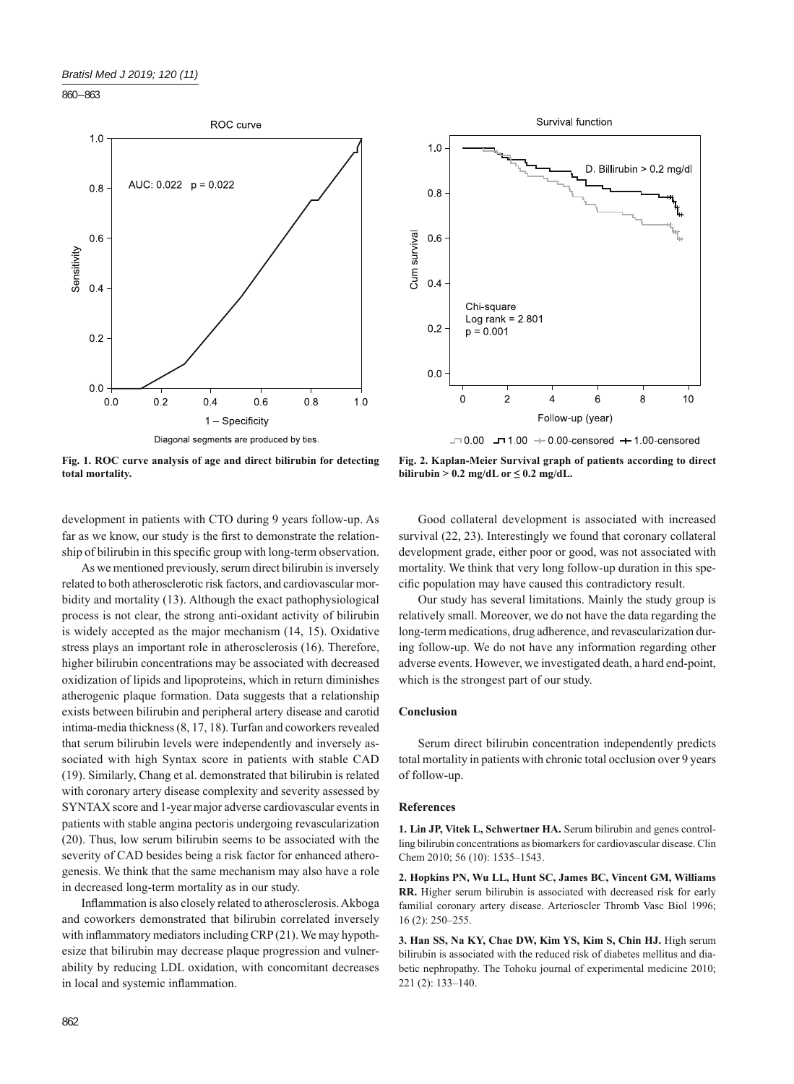860 – 863







**Fig. 2. Kaplan-Meier Survival graph of patients according to direct bilirubin > 0.2 mg/dL or**  $\leq$  **0.2 mg/dL.** 

development in patients with CTO during 9 years follow-up. As far as we know, our study is the first to demonstrate the relationship of bilirubin in this specific group with long-term observation.

As we mentioned previously, serum direct bilirubin is inversely related to both atherosclerotic risk factors, and cardiovascular morbidity and mortality (13). Although the exact pathophysiological process is not clear, the strong anti-oxidant activity of bilirubin is widely accepted as the major mechanism (14, 15). Oxidative stress plays an important role in atherosclerosis (16). Therefore, higher bilirubin concentrations may be associated with decreased oxidization of lipids and lipoproteins, which in return diminishes atherogenic plaque formation. Data suggests that a relationship exists between bilirubin and peripheral artery disease and carotid intima-media thickness (8, 17, 18). Turfan and coworkers revealed that serum bilirubin levels were independently and inversely associated with high Syntax score in patients with stable CAD (19). Similarly, Chang et al. demonstrated that bilirubin is related with coronary artery disease complexity and severity assessed by SYNTAX score and 1-year major adverse cardiovascular events in patients with stable angina pectoris undergoing revascularization (20). Thus, low serum bilirubin seems to be associated with the severity of CAD besides being a risk factor for enhanced atherogenesis. We think that the same mechanism may also have a role in decreased long-term mortality as in our study.

Inflammation is also closely related to atherosclerosis. Akboga and coworkers demonstrated that bilirubin correlated inversely with inflammatory mediators including  $CRP(21)$ . We may hypothesize that bilirubin may decrease plaque progression and vulnerability by reducing LDL oxidation, with concomitant decreases in local and systemic inflammation.

Good collateral development is associated with increased survival (22, 23). Interestingly we found that coronary collateral development grade, either poor or good, was not associated with mortality. We think that very long follow-up duration in this specific population may have caused this contradictory result.

Our study has several limitations. Mainly the study group is relatively small. Moreover, we do not have the data regarding the long-term medications, drug adherence, and revascularization during follow-up. We do not have any information regarding other adverse events. However, we investigated death, a hard end-point, which is the strongest part of our study.

## **Conclusion**

Serum direct bilirubin concentration independently predicts total mortality in patients with chronic total occlusion over 9 years of follow-up.

## **References**

**1. Lin JP, Vitek L, Schwertner HA.** Serum bilirubin and genes controlling bilirubin concentrations as biomarkers for cardiovascular disease. Clin Chem 2010; 56 (10): 1535-1543.

**2. Hopkins PN, Wu LL, Hunt SC, James BC, Vincent GM, Williams RR.** Higher serum bilirubin is associated with decreased risk for early familial coronary artery disease. Arterioscler Thromb Vasc Biol 1996; 16 (2): 250‒255.

**3. Han SS, Na KY, Chae DW, Kim YS, Kim S, Chin HJ.** High serum bilirubin is associated with the reduced risk of diabetes mellitus and diabetic nephropathy. The Tohoku journal of experimental medicine 2010; 221 (2): 133‒140.